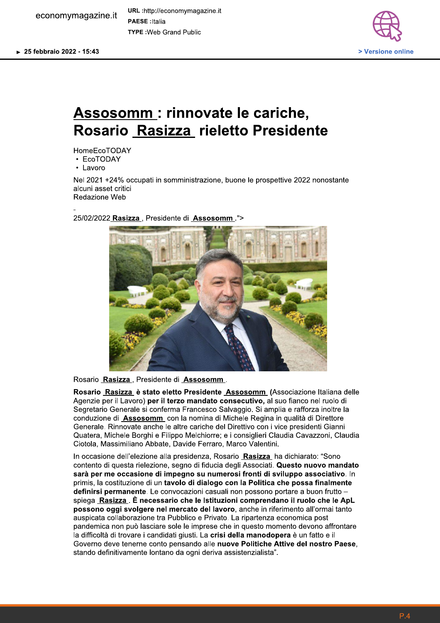economymagazine.it

URL:http://economymagazine.it **PAESE** : Italia **TYPE: Web Grand Public** 



## Assosomm : rinnovate le cariche, Rosario Rasizza rieletto Presidente

**HomeEcoTODAY** 

• EcoTODAY

• Lavoro

Nel 2021 +24% occupati in somministrazione, buone le prospettive 2022 nonostante alcuni asset critici Redazione Web

25/02/2022 Rasizza, Presidente di Assosomm.">



Rosario Rasizza, Presidente di Assosomm.

Rosario Rasizza è stato eletto Presidente Assosomm (Associazione Italiana delle Agenzie per il Lavoro) per il terzo mandato consecutivo, al suo fianco nel ruolo di Segretario Generale si conferma Francesco Salvaggio. Si amplia e rafforza inoltre la conduzione di Assosomm con la nomina di Michele Regina in qualità di Direttore Generale. Rinnovate anche le altre cariche del Direttivo con i vice presidenti Gianni Quatera, Michele Borghi e Filippo Melchiorre; e i consiglieri Claudia Cavazzoni, Claudia Ciotola, Massimiliano Abbate, Davide Ferraro, Marco Valentini.

In occasione dell'elezione alla presidenza, Rosario Rasizza ha dichiarato: "Sono contento di questa rielezione, segno di fiducia degli Associati. Questo nuovo mandato sarà per me occasione di impegno su numerosi fronti di sviluppo associativo. In primis, la costituzione di un tavolo di dialogo con la Politica che possa finalmente definirsi permanente. Le convocazioni casuali non possono portare a buon frutto spiega Rasizza . È necessario che le Istituzioni comprendano il ruolo che le ApL possono oggi svolgere nel mercato del lavoro, anche in riferimento all'ormai tanto auspicata collaborazione tra Pubblico e Privato. La ripartenza economica post pandemica non può lasciare sole le imprese che in questo momento devono affrontare la difficoltà di trovare i candidati giusti. La crisi della manodopera è un fatto e il Governo deve tenerne conto pensando alle nuove Politiche Attive del nostro Paese, stando definitivamente lontano da ogni deriva assistenzialista".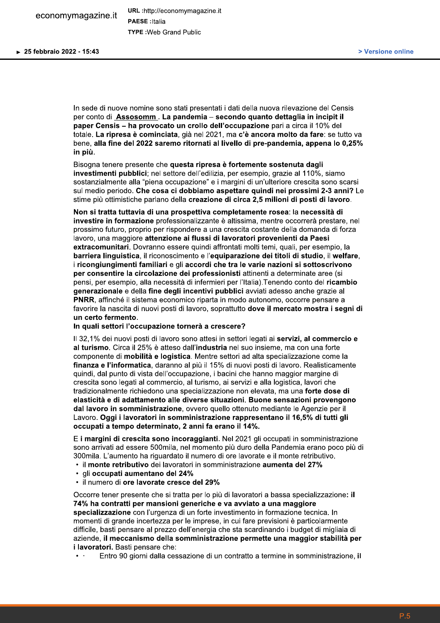In sede di nuove nomine sono stati presentati i dati della nuova rilevazione del Censis per conto di Assosomm. La pandemia - secondo quanto dettaglia in incipit il paper Censis - ha provocato un crollo dell'occupazione pari a circa il 10% del totale. La ripresa è cominciata, già nel 2021, ma c'è ancora molto da fare: se tutto va bene, alla fine del 2022 saremo ritornati al livello di pre-pandemia, appena lo 0,25% in più.

Bisogna tenere presente che questa ripresa è fortemente sostenuta dagli investimenti pubblici; nel settore dell'edilizia, per esempio, grazie al 110%, siamo sostanzialmente alla "piena occupazione" e i margini di un'ulteriore crescita sono scarsi sul medio periodo. Che cosa ci dobbiamo aspettare quindi nei prossimi 2-3 anni? Le stime più ottimistiche parlano della creazione di circa 2.5 milioni di posti di lavoro.

Non si tratta tuttavia di una prospettiva completamente rosea: la necessità di investire in formazione professionalizzante è altissima, mentre occorrerà prestare, nel prossimo futuro, proprio per rispondere a una crescita costante della domanda di forza lavoro, una maggiore attenzione ai flussi di lavoratori provenienti da Paesi extracomunitari. Dovranno essere quindi affrontati molti temi, quali, per esempio, la barriera linguistica, il riconoscimento e l'equiparazione dei titoli di studio, il welfare, i ricongiungimenti familiari e gli accordi che tra le varie nazioni si sottoscrivono per consentire la circolazione dei professionisti attinenti a determinate aree (si pensi, per esempio, alla necessità di infermieri per l'Italia). Tenendo conto del ricambio generazionale e della fine degli incentivi pubblici avviati adesso anche grazie al PNRR, affinché il sistema economico riparta in modo autonomo, occorre pensare a favorire la nascita di nuovi posti di lavoro, soprattutto dove il mercato mostra i segni di un certo fermento.

## In quali settori l'occupazione tornerà a crescere?

Il 32.1% dei nuovi posti di lavoro sono attesi in settori legati ai servizi, al commercio e al turismo. Circa il 25% è atteso dall'industria nel suo insieme, ma con una forte componente di mobilità e logistica. Mentre settori ad alta specializzazione come la finanza e l'informatica, daranno al più il 15% di nuovi posti di lavoro. Realisticamente quindi, dal punto di vista dell'occupazione, i bacini che hanno maggior margine di crescita sono legati al commercio, al turismo, ai servizi e alla logistica, lavori che tradizionalmente richiedono una specializzazione non elevata, ma una forte dose di elasticità e di adattamento alle diverse situazioni. Buone sensazioni provengono dal lavoro in somministrazione, ovvero quello ottenuto mediante le Agenzie per il Lavoro. Oggi i lavoratori in somministrazione rappresentano il 16,5% di tutti gli occupati a tempo determinato. 2 anni fa erano il 14%.

E i margini di crescita sono incoraggianti. Nel 2021 gli occupati in somministrazione sono arrivati ad essere 500mila, nel momento più duro della Pandemia erano poco più di 300 mila. L'aumento ha riguardato il numero di ore lavorate e il monte retributivo.

- · il monte retributivo dei lavoratori in somministrazione aumenta del 27%
- gli occupati aumentano del 24%
- il numero di ore lavorate cresce del 29%

Occorre tener presente che si tratta per lo più di lavoratori a bassa specializzazione: il 74% ha contratti per mansioni generiche e va avviato a una maggiore specializzazione con l'urgenza di un forte investimento in formazione tecnica. In momenti di grande incertezza per le imprese, in cui fare previsioni è particolarmente difficile, basti pensare al prezzo dell'energia che sta scardinando i budget di migliaia di aziende, il meccanismo della somministrazione permette una maggior stabilità per *i lavoratori. Basti pensare che:* 

Entro 90 giorni dalla cessazione di un contratto a termine in somministrazione, il